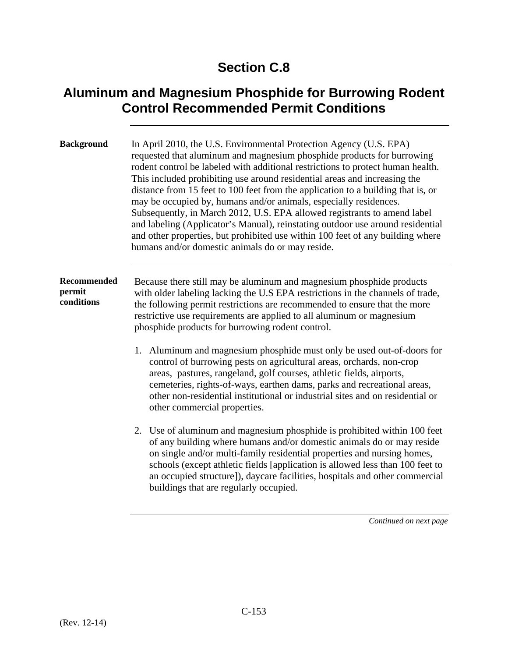## **Section C.8**

## **Aluminum and Magnesium Phosphide for Burrowing Rodent Control Recommended Permit Conditions**

| <b>Background</b>                   | In April 2010, the U.S. Environmental Protection Agency (U.S. EPA)<br>requested that aluminum and magnesium phosphide products for burrowing<br>rodent control be labeled with additional restrictions to protect human health.<br>This included prohibiting use around residential areas and increasing the<br>distance from 15 feet to 100 feet from the application to a building that is, or<br>may be occupied by, humans and/or animals, especially residences.<br>Subsequently, in March 2012, U.S. EPA allowed registrants to amend label<br>and labeling (Applicator's Manual), reinstating outdoor use around residential<br>and other properties, but prohibited use within 100 feet of any building where<br>humans and/or domestic animals do or may reside. |  |
|-------------------------------------|---------------------------------------------------------------------------------------------------------------------------------------------------------------------------------------------------------------------------------------------------------------------------------------------------------------------------------------------------------------------------------------------------------------------------------------------------------------------------------------------------------------------------------------------------------------------------------------------------------------------------------------------------------------------------------------------------------------------------------------------------------------------------|--|
| Recommended<br>permit<br>conditions | Because there still may be aluminum and magnesium phosphide products<br>with older labeling lacking the U.S EPA restrictions in the channels of trade,<br>the following permit restrictions are recommended to ensure that the more<br>restrictive use requirements are applied to all aluminum or magnesium<br>phosphide products for burrowing rodent control.                                                                                                                                                                                                                                                                                                                                                                                                          |  |
|                                     | 1. Aluminum and magnesium phosphide must only be used out-of-doors for<br>control of burrowing pests on agricultural areas, orchards, non-crop<br>areas, pastures, rangeland, golf courses, athletic fields, airports,<br>cemeteries, rights-of-ways, earthen dams, parks and recreational areas,<br>other non-residential institutional or industrial sites and on residential or<br>other commercial properties.                                                                                                                                                                                                                                                                                                                                                        |  |
|                                     | 2. Use of aluminum and magnesium phosphide is prohibited within 100 feet<br>of any building where humans and/or domestic animals do or may reside<br>on single and/or multi-family residential properties and nursing homes,<br>schools (except athletic fields [application is allowed less than 100 feet to<br>an occupied structure]), daycare facilities, hospitals and other commercial<br>buildings that are regularly occupied.                                                                                                                                                                                                                                                                                                                                    |  |

*Continued on next page*